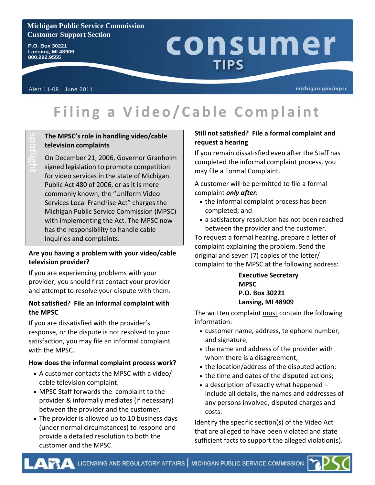## **Michigan Public Service Commission Customer Support Section**

**P.O. Box 30221 Lansing, MI 48909 800.292.9555** 

# consumer **TIPS**

Alert 11-08 June 2011

michigan.gov/mpsc

# **Filing a Video/Cable Complaint**

# **The MPSC's role in handling video/cable television complaints**

On December 21, 2006, Governor Granholm signed legislation to promote competition for video services in the state of Michigan. Public Act 480 of 2006, or as it is more commonly known, the "Uniform Video Services Local Franchise Act" charges the Michigan Public Service Commission (MPSC) with implementing the Act. The MPSC now has the responsibility to handle cable inquiries and complaints.

## **Are you having a problem with your video/cable television provider?**

If you are experiencing problems with your provider, you should first contact your provider and attempt to resolve your dispute with them.

## **Not satisfied? File an informal complaint with the MPSC**

If you are dissatisfied with the provider's response, or the dispute is not resolved to your satisfaction, you may file an informal complaint with the MPSC.

# **How does the informal complaint process work?**

- A customer contacts the MPSC with a video/ cable television complaint.
- MPSC Staff forwards the complaint to the provider & informally mediates (if necessary) between the provider and the customer.
- The provider is allowed up to 10 business days (under normal circumstances) to respond and provide a detailed resolution to both the customer and the MPSC.

# **Still not satisfied? File a formal complaint and request a hearing**

If you remain dissatisfied even after the Staff has completed the informal complaint process, you may file a Formal Complaint.

A customer will be permitted to file a formal complaint *only after*:

- the informal complaint process has been completed; and
- a satisfactory resolution has not been reached between the provider and the customer.

To request a formal hearing, prepare a letter of complaint explaining the problem. Send the original and seven (7) copies of the letter/ complaint to the MPSC at the following address:

> **Executive Secretary MPSC P.O. Box 30221 Lansing, MI 48909**

The written complaint must contain the following information:

- customer name, address, telephone number, and signature;
- the name and address of the provider with whom there is a disagreement;
- the location/address of the disputed action;
- the time and dates of the disputed actions;
- a description of exactly what happened include all details, the names and addresses of any persons involved, disputed charges and costs.

Identify the specific section(s) of the Video Act that are alleged to have been violated and state sufficient facts to support the alleged violation(s).